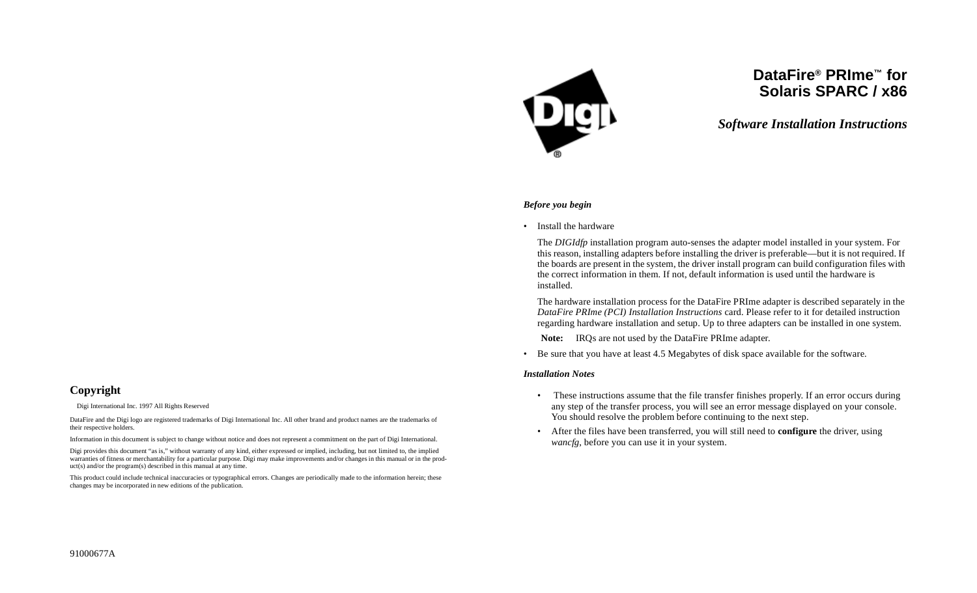

# **DataFire® PRIme™ forSolaris SPARC / x86**

*Software Installation Instructions*

#### *Before you begin*

• Install the hardware

The *DIGIdfp* installation program auto-senses the adapter model installed in your system. For this reason, installing adapters before installing the driver is preferable—but it is not required. If the boards are present in the system, the driver install program can build configuration files with the correct information in them. If not, default information is used until the hardware is installed.

The hardware installation process for the DataFire PRIme adapter is described separately in the *DataFire PRIme (PCI) Installation Instructions* card. Please refer to it for detailed instruction regarding hardware installation and setup. Up to three adapters can be installed in one system.

**Note:** IRQs are not used by the DataFire PRIme adapter.

• Be sure that you have at least 4.5 Megabytes of disk space available for the software.

#### *Installation Notes*

- These instructions assume that the file transfer finishes properly. If an error occurs during any step of the transfer process, you will see an error message displayed on your console. You should resolve the problem before continuing to the next step.
- After the files have been transferred, you will still need to **configure** the driver, using *wancfg*, before you can use it in your system.

# **Copyright**

 $\circ$  Digi International Inc. 1997 All Rights Reserved

DataFire and the Digi logo are registered trademarks of Digi International Inc. All other brand and product names are the trademarks of their respective holders.

Information in this document is subject to change without notice and does not represent a commitment on the part of Digi International.

Digi provides this document "as is," without warranty of any kind, either expressed or implied, including, but not limited to, the implied warranties of fitness or merchantability for a particular purpose. Digi may make improvements and/or changes in this manual or in the product(s) and/or the program(s) described in this manual at any time.

This product could include technical inaccuracies or typographical errors. Changes are periodically made to the information herein; these changes may be incorporated in new editions of the publication.